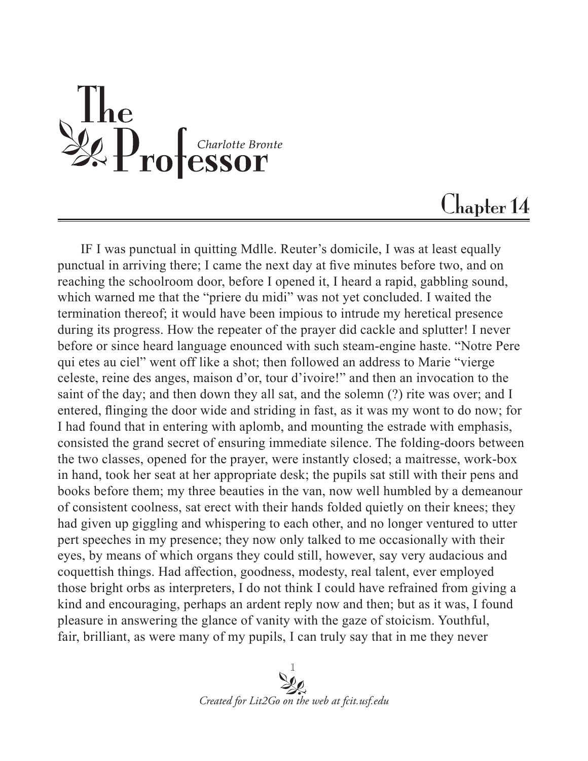$\begin{array}{l} \textbf{The} \\ \textbf{2Q} \textbf{P} \textbf{ro} \textbf{f} \\ \textbf{f} \textbf{c} \textbf{h} \textbf{a} \textbf{r} \textbf{b} \textbf{t} \textbf{e} \\ \textbf{f} \textbf{c} \textbf{r} \textbf{r} \textbf{b} \textbf{r} \textbf{b} \textbf{r} \textbf{b} \textbf{r} \textbf{b} \textbf{r} \textbf{b} \textbf{r} \textbf{b} \textbf{r} \textbf{b} \textbf{r} \textbf{b} \textbf{r} \textbf{b} \textbf{r$ 

## Chapter 14

IF I was punctual in quitting Mdlle. Reuter's domicile, I was at least equally punctual in arriving there; I came the next day at five minutes before two, and on reaching the schoolroom door, before I opened it, I heard a rapid, gabbling sound, which warned me that the "priere du midi" was not yet concluded. I waited the termination thereof; it would have been impious to intrude my heretical presence during its progress. How the repeater of the prayer did cackle and splutter! I never before or since heard language enounced with such steam-engine haste. "Notre Pere qui etes au ciel" went off like a shot; then followed an address to Marie "vierge celeste, reine des anges, maison d'or, tour d'ivoire!" and then an invocation to the saint of the day; and then down they all sat, and the solemn (?) rite was over; and I entered, flinging the door wide and striding in fast, as it was my wont to do now; for I had found that in entering with aplomb, and mounting the estrade with emphasis, consisted the grand secret of ensuring immediate silence. The folding-doors between the two classes, opened for the prayer, were instantly closed; a maitresse, work-box in hand, took her seat at her appropriate desk; the pupils sat still with their pens and books before them; my three beauties in the van, now well humbled by a demeanour of consistent coolness, sat erect with their hands folded quietly on their knees; they had given up giggling and whispering to each other, and no longer ventured to utter pert speeches in my presence; they now only talked to me occasionally with their eyes, by means of which organs they could still, however, say very audacious and coquettish things. Had affection, goodness, modesty, real talent, ever employed those bright orbs as interpreters, I do not think I could have refrained from giving a kind and encouraging, perhaps an ardent reply now and then; but as it was, I found pleasure in answering the glance of vanity with the gaze of stoicism. Youthful, fair, brilliant, as were many of my pupils, I can truly say that in me they never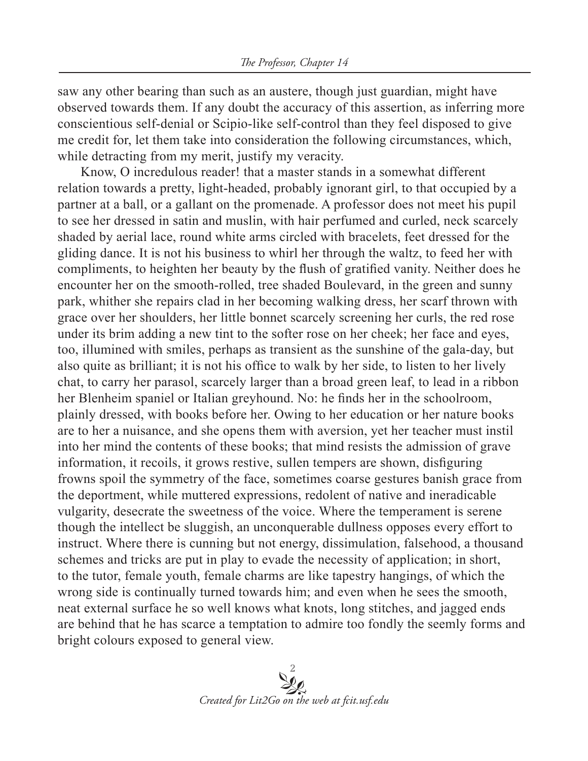saw any other bearing than such as an austere, though just guardian, might have observed towards them. If any doubt the accuracy of this assertion, as inferring more conscientious self-denial or Scipio-like self-control than they feel disposed to give me credit for, let them take into consideration the following circumstances, which, while detracting from my merit, justify my veracity.

Know, O incredulous reader! that a master stands in a somewhat different relation towards a pretty, light-headed, probably ignorant girl, to that occupied by a partner at a ball, or a gallant on the promenade. A professor does not meet his pupil to see her dressed in satin and muslin, with hair perfumed and curled, neck scarcely shaded by aerial lace, round white arms circled with bracelets, feet dressed for the gliding dance. It is not his business to whirl her through the waltz, to feed her with compliments, to heighten her beauty by the flush of gratified vanity. Neither does he encounter her on the smooth-rolled, tree shaded Boulevard, in the green and sunny park, whither she repairs clad in her becoming walking dress, her scarf thrown with grace over her shoulders, her little bonnet scarcely screening her curls, the red rose under its brim adding a new tint to the softer rose on her cheek; her face and eyes, too, illumined with smiles, perhaps as transient as the sunshine of the gala-day, but also quite as brilliant; it is not his office to walk by her side, to listen to her lively chat, to carry her parasol, scarcely larger than a broad green leaf, to lead in a ribbon her Blenheim spaniel or Italian greyhound. No: he finds her in the schoolroom, plainly dressed, with books before her. Owing to her education or her nature books are to her a nuisance, and she opens them with aversion, yet her teacher must instil into her mind the contents of these books; that mind resists the admission of grave information, it recoils, it grows restive, sullen tempers are shown, disfiguring frowns spoil the symmetry of the face, sometimes coarse gestures banish grace from the deportment, while muttered expressions, redolent of native and ineradicable vulgarity, desecrate the sweetness of the voice. Where the temperament is serene though the intellect be sluggish, an unconquerable dullness opposes every effort to instruct. Where there is cunning but not energy, dissimulation, falsehood, a thousand schemes and tricks are put in play to evade the necessity of application; in short, to the tutor, female youth, female charms are like tapestry hangings, of which the wrong side is continually turned towards him; and even when he sees the smooth, neat external surface he so well knows what knots, long stitches, and jagged ends are behind that he has scarce a temptation to admire too fondly the seemly forms and bright colours exposed to general view.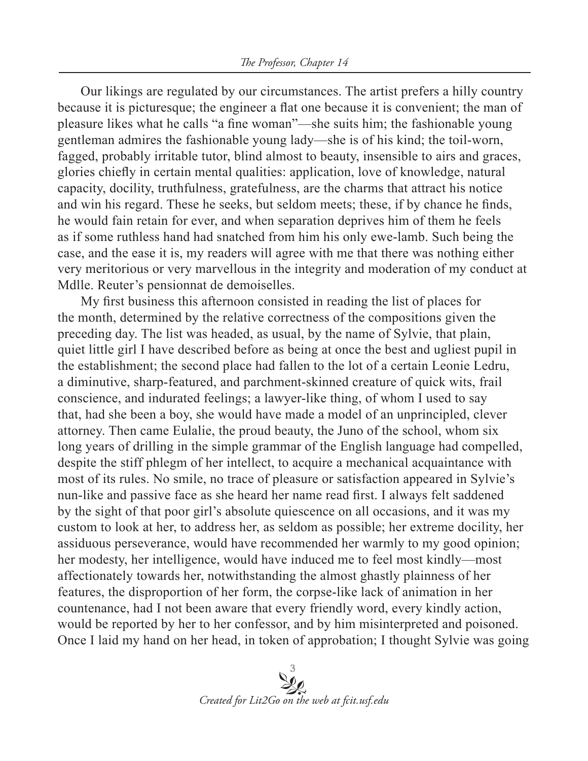Our likings are regulated by our circumstances. The artist prefers a hilly country because it is picturesque; the engineer a flat one because it is convenient; the man of pleasure likes what he calls "a fine woman"—she suits him; the fashionable young gentleman admires the fashionable young lady—she is of his kind; the toil-worn, fagged, probably irritable tutor, blind almost to beauty, insensible to airs and graces, glories chiefly in certain mental qualities: application, love of knowledge, natural capacity, docility, truthfulness, gratefulness, are the charms that attract his notice and win his regard. These he seeks, but seldom meets; these, if by chance he finds, he would fain retain for ever, and when separation deprives him of them he feels as if some ruthless hand had snatched from him his only ewe-lamb. Such being the case, and the ease it is, my readers will agree with me that there was nothing either very meritorious or very marvellous in the integrity and moderation of my conduct at Mdlle. Reuter's pensionnat de demoiselles.

My first business this afternoon consisted in reading the list of places for the month, determined by the relative correctness of the compositions given the preceding day. The list was headed, as usual, by the name of Sylvie, that plain, quiet little girl I have described before as being at once the best and ugliest pupil in the establishment; the second place had fallen to the lot of a certain Leonie Ledru, a diminutive, sharp-featured, and parchment-skinned creature of quick wits, frail conscience, and indurated feelings; a lawyer-like thing, of whom I used to say that, had she been a boy, she would have made a model of an unprincipled, clever attorney. Then came Eulalie, the proud beauty, the Juno of the school, whom six long years of drilling in the simple grammar of the English language had compelled, despite the stiff phlegm of her intellect, to acquire a mechanical acquaintance with most of its rules. No smile, no trace of pleasure or satisfaction appeared in Sylvie's nun-like and passive face as she heard her name read first. I always felt saddened by the sight of that poor girl's absolute quiescence on all occasions, and it was my custom to look at her, to address her, as seldom as possible; her extreme docility, her assiduous perseverance, would have recommended her warmly to my good opinion; her modesty, her intelligence, would have induced me to feel most kindly—most affectionately towards her, notwithstanding the almost ghastly plainness of her features, the disproportion of her form, the corpse-like lack of animation in her countenance, had I not been aware that every friendly word, every kindly action, would be reported by her to her confessor, and by him misinterpreted and poisoned. Once I laid my hand on her head, in token of approbation; I thought Sylvie was going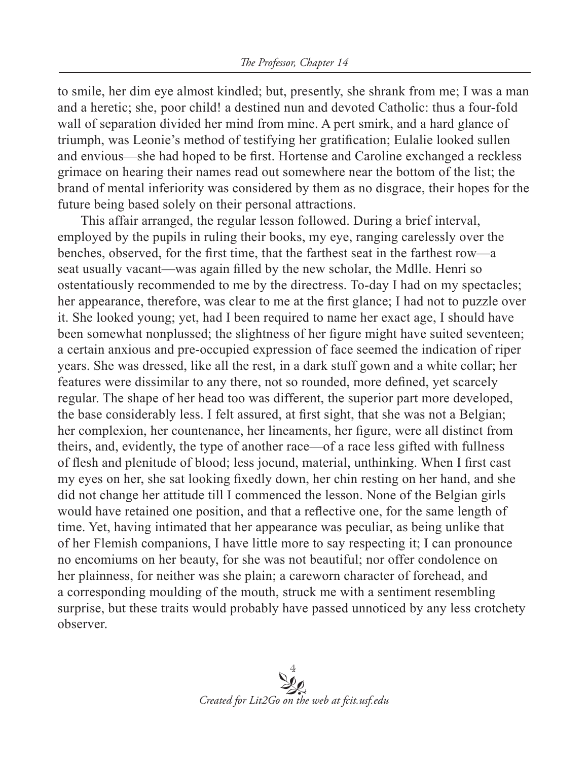to smile, her dim eye almost kindled; but, presently, she shrank from me; I was a man and a heretic; she, poor child! a destined nun and devoted Catholic: thus a four-fold wall of separation divided her mind from mine. A pert smirk, and a hard glance of triumph, was Leonie's method of testifying her gratification; Eulalie looked sullen and envious—she had hoped to be first. Hortense and Caroline exchanged a reckless grimace on hearing their names read out somewhere near the bottom of the list; the brand of mental inferiority was considered by them as no disgrace, their hopes for the future being based solely on their personal attractions.

This affair arranged, the regular lesson followed. During a brief interval, employed by the pupils in ruling their books, my eye, ranging carelessly over the benches, observed, for the first time, that the farthest seat in the farthest row—a seat usually vacant—was again filled by the new scholar, the Mdlle. Henri so ostentatiously recommended to me by the directress. To-day I had on my spectacles; her appearance, therefore, was clear to me at the first glance; I had not to puzzle over it. She looked young; yet, had I been required to name her exact age, I should have been somewhat nonplussed; the slightness of her figure might have suited seventeen; a certain anxious and pre-occupied expression of face seemed the indication of riper years. She was dressed, like all the rest, in a dark stuff gown and a white collar; her features were dissimilar to any there, not so rounded, more defined, yet scarcely regular. The shape of her head too was different, the superior part more developed, the base considerably less. I felt assured, at first sight, that she was not a Belgian; her complexion, her countenance, her lineaments, her figure, were all distinct from theirs, and, evidently, the type of another race—of a race less gifted with fullness of flesh and plenitude of blood; less jocund, material, unthinking. When I first cast my eyes on her, she sat looking fixedly down, her chin resting on her hand, and she did not change her attitude till I commenced the lesson. None of the Belgian girls would have retained one position, and that a reflective one, for the same length of time. Yet, having intimated that her appearance was peculiar, as being unlike that of her Flemish companions, I have little more to say respecting it; I can pronounce no encomiums on her beauty, for she was not beautiful; nor offer condolence on her plainness, for neither was she plain; a careworn character of forehead, and a corresponding moulding of the mouth, struck me with a sentiment resembling surprise, but these traits would probably have passed unnoticed by any less crotchety observer.